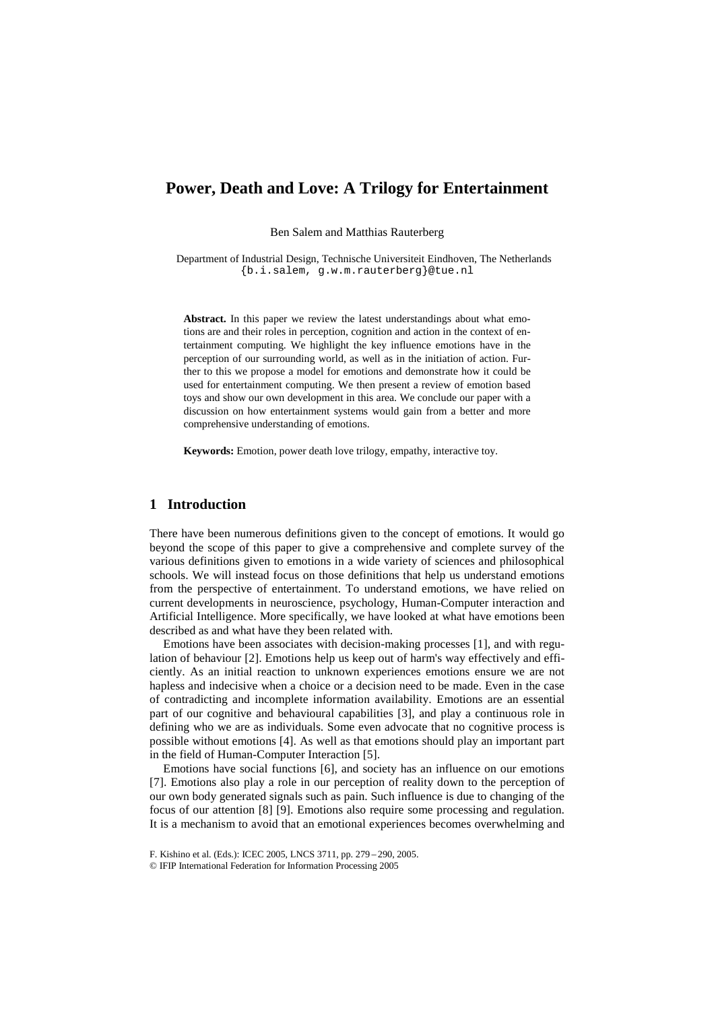# **Power, Death and Love: A Trilogy for Entertainment**

Ben Salem and Matthias Rauterberg

Department of Industrial Design, Technische Universiteit Eindhoven, The Netherlands {b.i.salem, g.w.m.rauterberg}@tue.nl

**Abstract.** In this paper we review the latest understandings about what emotions are and their roles in perception, cognition and action in the context of entertainment computing. We highlight the key influence emotions have in the perception of our surrounding world, as well as in the initiation of action. Further to this we propose a model for emotions and demonstrate how it could be used for entertainment computing. We then present a review of emotion based toys and show our own development in this area. We conclude our paper with a discussion on how entertainment systems would gain from a better and more comprehensive understanding of emotions.

**Keywords:** Emotion, power death love trilogy, empathy, interactive toy.

### **1 Introduction**

There have been numerous definitions given to the concept of emotions. It would go beyond the scope of this paper to give a comprehensive and complete survey of the various definitions given to emotions in a wide variety of sciences and philosophical schools. We will instead focus on those definitions that help us understand emotions from the perspective of entertainment. To understand emotions, we have relied on current developments in neuroscience, psychology, Human-Computer interaction and Artificial Intelligence. More specifically, we have looked at what have emotions been described as and what have they been related with.

Emotions have been associates with decision-making processes [1], and with regulation of behaviour [2]. Emotions help us keep out of harm's way effectively and efficiently. As an initial reaction to unknown experiences emotions ensure we are not hapless and indecisive when a choice or a decision need to be made. Even in the case of contradicting and incomplete information availability. Emotions are an essential part of our cognitive and behavioural capabilities [3], and play a continuous role in defining who we are as individuals. Some even advocate that no cognitive process is possible without emotions [4]. As well as that emotions should play an important part in the field of Human-Computer Interaction [5].

Emotions have social functions [6], and society has an influence on our emotions [7]. Emotions also play a role in our perception of reality down to the perception of our own body generated signals such as pain. Such influence is due to changing of the focus of our attention [8] [9]. Emotions also require some processing and regulation. It is a mechanism to avoid that an emotional experiences becomes overwhelming and

F. Kishino et al. (Eds.): ICEC 2005, LNCS 3711, pp. 279 – 290, 2005.

<sup>©</sup> IFIP International Federation for Information Processing 2005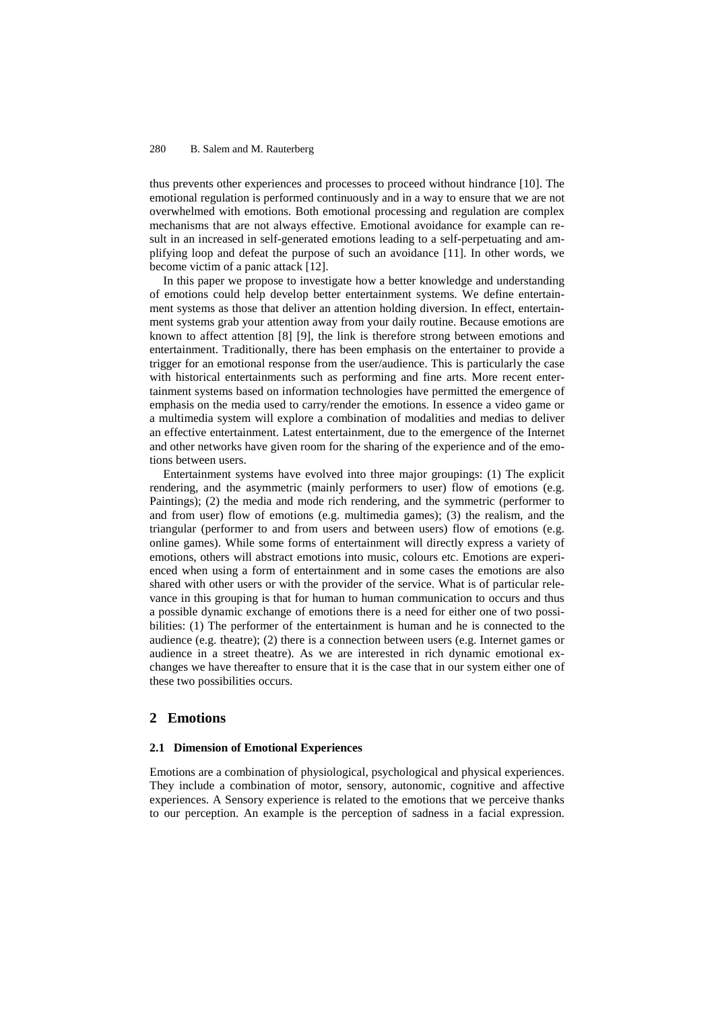thus prevents other experiences and processes to proceed without hindrance [10]. The emotional regulation is performed continuously and in a way to ensure that we are not overwhelmed with emotions. Both emotional processing and regulation are complex mechanisms that are not always effective. Emotional avoidance for example can result in an increased in self-generated emotions leading to a self-perpetuating and amplifying loop and defeat the purpose of such an avoidance [11]. In other words, we become victim of a panic attack [12].

In this paper we propose to investigate how a better knowledge and understanding of emotions could help develop better entertainment systems. We define entertainment systems as those that deliver an attention holding diversion. In effect, entertainment systems grab your attention away from your daily routine. Because emotions are known to affect attention [8] [9], the link is therefore strong between emotions and entertainment. Traditionally, there has been emphasis on the entertainer to provide a trigger for an emotional response from the user/audience. This is particularly the case with historical entertainments such as performing and fine arts. More recent entertainment systems based on information technologies have permitted the emergence of emphasis on the media used to carry/render the emotions. In essence a video game or a multimedia system will explore a combination of modalities and medias to deliver an effective entertainment. Latest entertainment, due to the emergence of the Internet and other networks have given room for the sharing of the experience and of the emotions between users.

Entertainment systems have evolved into three major groupings: (1) The explicit rendering, and the asymmetric (mainly performers to user) flow of emotions (e.g. Paintings); (2) the media and mode rich rendering, and the symmetric (performer to and from user) flow of emotions (e.g. multimedia games); (3) the realism, and the triangular (performer to and from users and between users) flow of emotions (e.g. online games). While some forms of entertainment will directly express a variety of emotions, others will abstract emotions into music, colours etc. Emotions are experienced when using a form of entertainment and in some cases the emotions are also shared with other users or with the provider of the service. What is of particular relevance in this grouping is that for human to human communication to occurs and thus a possible dynamic exchange of emotions there is a need for either one of two possibilities: (1) The performer of the entertainment is human and he is connected to the audience (e.g. theatre); (2) there is a connection between users (e.g. Internet games or audience in a street theatre). As we are interested in rich dynamic emotional exchanges we have thereafter to ensure that it is the case that in our system either one of these two possibilities occurs.

### **2 Emotions**

#### **2.1 Dimension of Emotional Experiences**

Emotions are a combination of physiological, psychological and physical experiences. They include a combination of motor, sensory, autonomic, cognitive and affective experiences. A Sensory experience is related to the emotions that we perceive thanks to our perception. An example is the perception of sadness in a facial expression.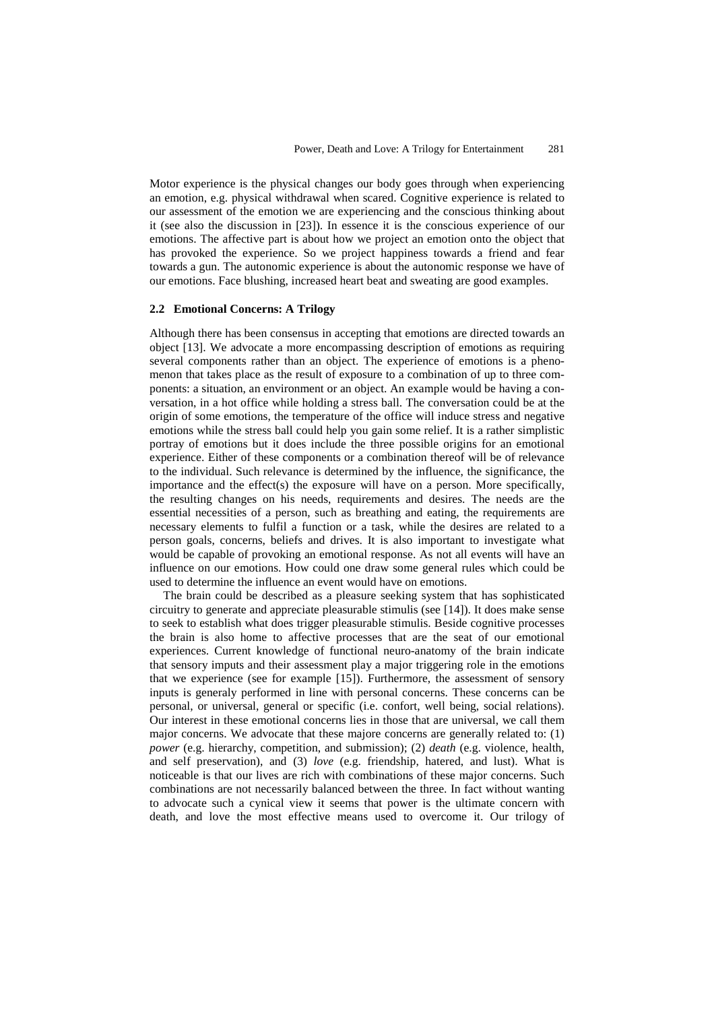Motor experience is the physical changes our body goes through when experiencing an emotion, e.g. physical withdrawal when scared. Cognitive experience is related to our assessment of the emotion we are experiencing and the conscious thinking about it (see also the discussion in [23]). In essence it is the conscious experience of our emotions. The affective part is about how we project an emotion onto the object that has provoked the experience. So we project happiness towards a friend and fear towards a gun. The autonomic experience is about the autonomic response we have of our emotions. Face blushing, increased heart beat and sweating are good examples.

#### **2.2 Emotional Concerns: A Trilogy**

Although there has been consensus in accepting that emotions are directed towards an object [13]. We advocate a more encompassing description of emotions as requiring several components rather than an object. The experience of emotions is a phenomenon that takes place as the result of exposure to a combination of up to three components: a situation, an environment or an object. An example would be having a conversation, in a hot office while holding a stress ball. The conversation could be at the origin of some emotions, the temperature of the office will induce stress and negative emotions while the stress ball could help you gain some relief. It is a rather simplistic portray of emotions but it does include the three possible origins for an emotional experience. Either of these components or a combination thereof will be of relevance to the individual. Such relevance is determined by the influence, the significance, the importance and the effect(s) the exposure will have on a person. More specifically, the resulting changes on his needs, requirements and desires. The needs are the essential necessities of a person, such as breathing and eating, the requirements are necessary elements to fulfil a function or a task, while the desires are related to a person goals, concerns, beliefs and drives. It is also important to investigate what would be capable of provoking an emotional response. As not all events will have an influence on our emotions. How could one draw some general rules which could be used to determine the influence an event would have on emotions.

The brain could be described as a pleasure seeking system that has sophisticated circuitry to generate and appreciate pleasurable stimulis (see [14]). It does make sense to seek to establish what does trigger pleasurable stimulis. Beside cognitive processes the brain is also home to affective processes that are the seat of our emotional experiences. Current knowledge of functional neuro-anatomy of the brain indicate that sensory imputs and their assessment play a major triggering role in the emotions that we experience (see for example [15]). Furthermore, the assessment of sensory inputs is generaly performed in line with personal concerns. These concerns can be personal, or universal, general or specific (i.e. confort, well being, social relations). Our interest in these emotional concerns lies in those that are universal, we call them major concerns. We advocate that these majore concerns are generally related to:  $(1)$ *power* (e.g. hierarchy, competition, and submission); (2) *death* (e.g. violence, health, and self preservation), and (3) *love* (e.g. friendship, hatered, and lust). What is noticeable is that our lives are rich with combinations of these major concerns. Such combinations are not necessarily balanced between the three. In fact without wanting to advocate such a cynical view it seems that power is the ultimate concern with death, and love the most effective means used to overcome it. Our trilogy of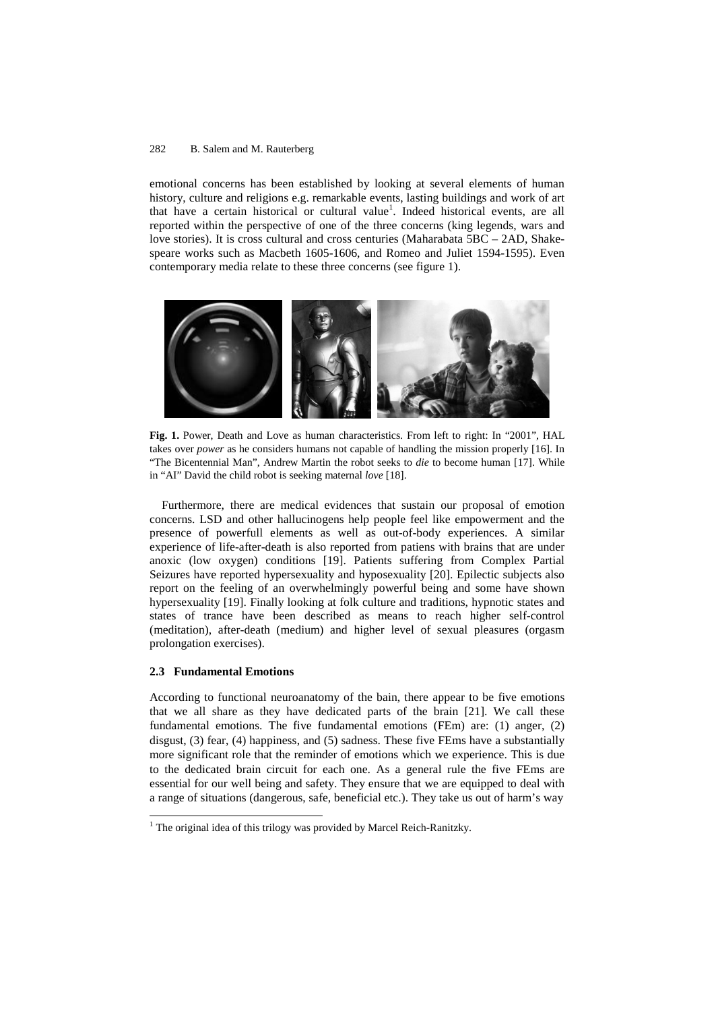emotional concerns has been established by looking at several elements of human history, culture and religions e.g. remarkable events, lasting buildings and work of art that have a certain historical or cultural value<sup>1</sup>. Indeed historical events, are all reported within the perspective of one of the three concerns (king legends, wars and love stories). It is cross cultural and cross centuries (Maharabata 5BC – 2AD, Shakespeare works such as Macbeth 1605-1606, and Romeo and Juliet 1594-1595). Even contemporary media relate to these three concerns (see figure 1).



**Fig. 1.** Power, Death and Love as human characteristics. From left to right: In "2001", HAL takes over *power* as he considers humans not capable of handling the mission properly [16]. In "The Bicentennial Man", Andrew Martin the robot seeks to *die* to become human [17]. While in "AI" David the child robot is seeking maternal *love* [18].

 Furthermore, there are medical evidences that sustain our proposal of emotion concerns. LSD and other hallucinogens help people feel like empowerment and the presence of powerfull elements as well as out-of-body experiences. A similar experience of life-after-death is also reported from patiens with brains that are under anoxic (low oxygen) conditions [19]. Patients suffering from Complex Partial Seizures have reported hypersexuality and hyposexuality [20]. Epilectic subjects also report on the feeling of an overwhelmingly powerful being and some have shown hypersexuality [19]. Finally looking at folk culture and traditions, hypnotic states and states of trance have been described as means to reach higher self-control (meditation), after-death (medium) and higher level of sexual pleasures (orgasm prolongation exercises).

### **2.3 Fundamental Emotions**

According to functional neuroanatomy of the bain, there appear to be five emotions that we all share as they have dedicated parts of the brain [21]. We call these fundamental emotions. The five fundamental emotions (FEm) are: (1) anger, (2) disgust, (3) fear, (4) happiness, and (5) sadness. These five FEms have a substantially more significant role that the reminder of emotions which we experience. This is due to the dedicated brain circuit for each one. As a general rule the five FEms are essential for our well being and safety. They ensure that we are equipped to deal with a range of situations (dangerous, safe, beneficial etc.). They take us out of harm's way

<sup>&</sup>lt;sup>1</sup> The original idea of this trilogy was provided by Marcel Reich-Ranitzky.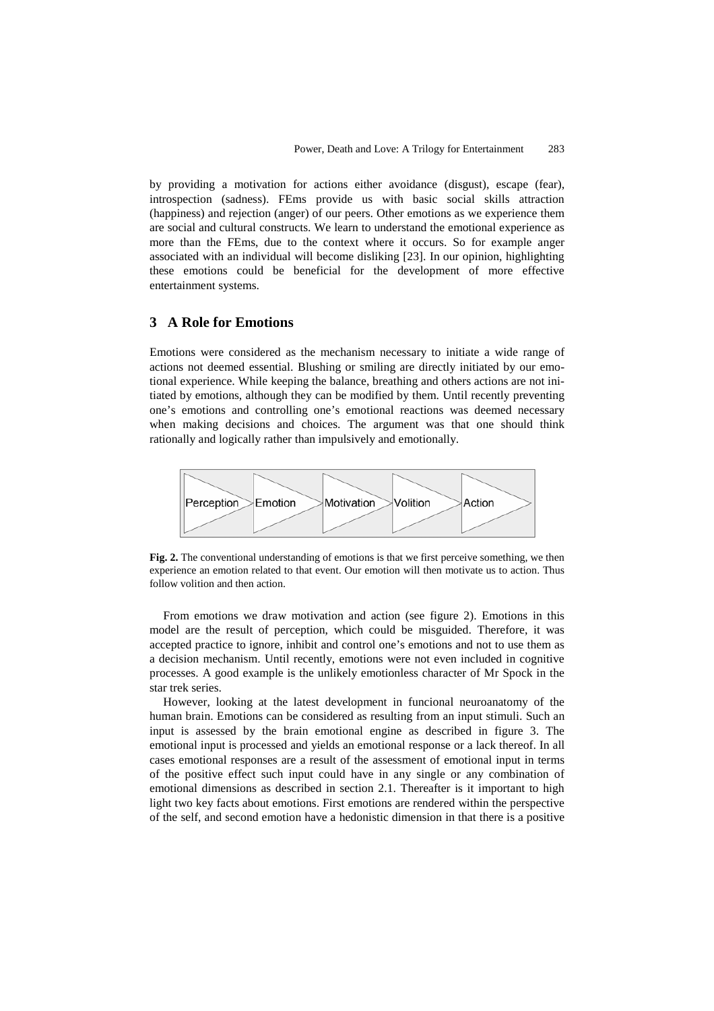by providing a motivation for actions either avoidance (disgust), escape (fear), introspection (sadness). FEms provide us with basic social skills attraction (happiness) and rejection (anger) of our peers. Other emotions as we experience them are social and cultural constructs. We learn to understand the emotional experience as more than the FEms, due to the context where it occurs. So for example anger associated with an individual will become disliking [23]. In our opinion, highlighting these emotions could be beneficial for the development of more effective entertainment systems.

### **3 A Role for Emotions**

Emotions were considered as the mechanism necessary to initiate a wide range of actions not deemed essential. Blushing or smiling are directly initiated by our emotional experience. While keeping the balance, breathing and others actions are not initiated by emotions, although they can be modified by them. Until recently preventing one's emotions and controlling one's emotional reactions was deemed necessary when making decisions and choices. The argument was that one should think rationally and logically rather than impulsively and emotionally.



**Fig. 2.** The conventional understanding of emotions is that we first perceive something, we then experience an emotion related to that event. Our emotion will then motivate us to action. Thus follow volition and then action.

From emotions we draw motivation and action (see figure 2). Emotions in this model are the result of perception, which could be misguided. Therefore, it was accepted practice to ignore, inhibit and control one's emotions and not to use them as a decision mechanism. Until recently, emotions were not even included in cognitive processes. A good example is the unlikely emotionless character of Mr Spock in the star trek series.

However, looking at the latest development in funcional neuroanatomy of the human brain. Emotions can be considered as resulting from an input stimuli. Such an input is assessed by the brain emotional engine as described in figure 3. The emotional input is processed and yields an emotional response or a lack thereof. In all cases emotional responses are a result of the assessment of emotional input in terms of the positive effect such input could have in any single or any combination of emotional dimensions as described in section 2.1. Thereafter is it important to high light two key facts about emotions. First emotions are rendered within the perspective of the self, and second emotion have a hedonistic dimension in that there is a positive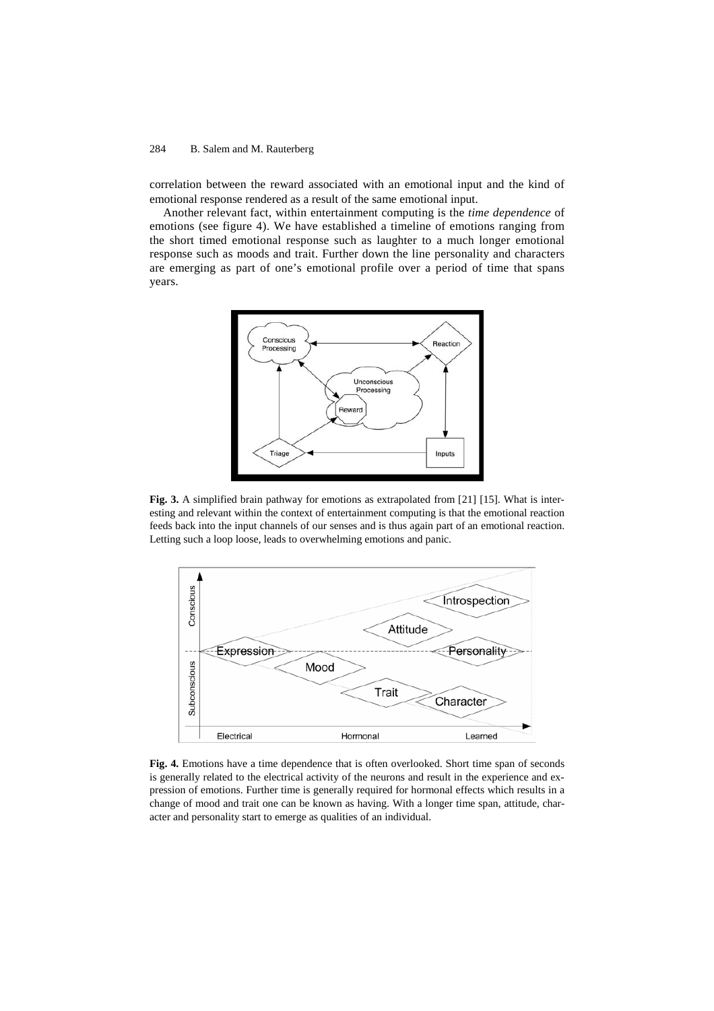correlation between the reward associated with an emotional input and the kind of emotional response rendered as a result of the same emotional input.

Another relevant fact, within entertainment computing is the *time dependence* of emotions (see figure 4). We have established a timeline of emotions ranging from the short timed emotional response such as laughter to a much longer emotional response such as moods and trait. Further down the line personality and characters are emerging as part of one's emotional profile over a period of time that spans years.



**Fig. 3.** A simplified brain pathway for emotions as extrapolated from [21] [15]. What is interesting and relevant within the context of entertainment computing is that the emotional reaction feeds back into the input channels of our senses and is thus again part of an emotional reaction. Letting such a loop loose, leads to overwhelming emotions and panic.



**Fig. 4.** Emotions have a time dependence that is often overlooked. Short time span of seconds is generally related to the electrical activity of the neurons and result in the experience and expression of emotions. Further time is generally required for hormonal effects which results in a change of mood and trait one can be known as having. With a longer time span, attitude, character and personality start to emerge as qualities of an individual.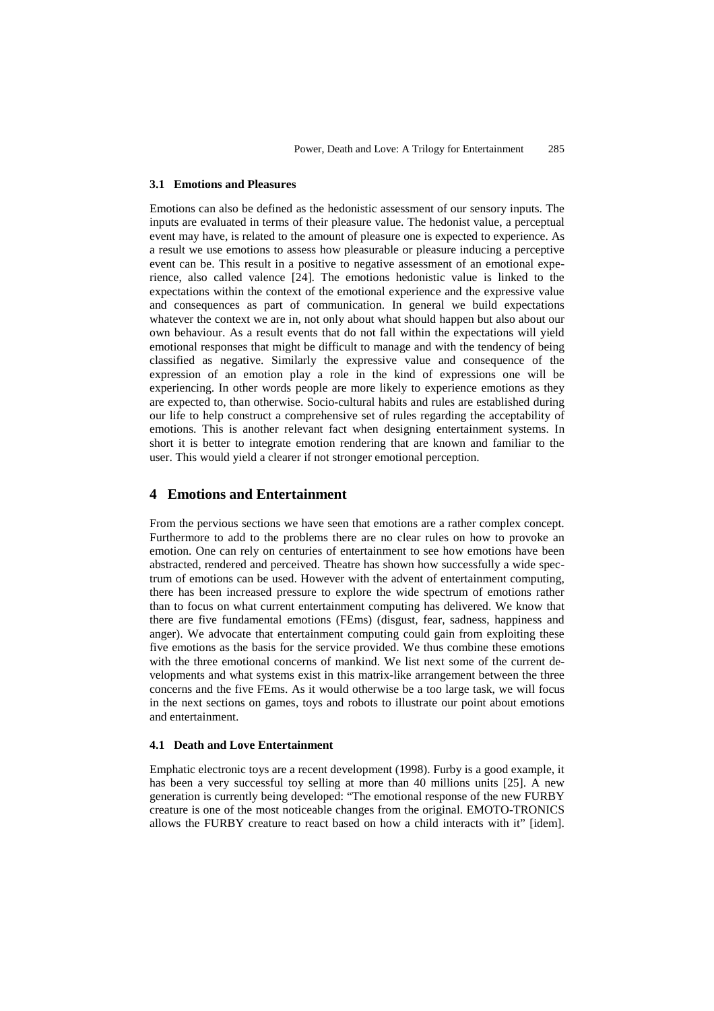#### **3.1 Emotions and Pleasures**

Emotions can also be defined as the hedonistic assessment of our sensory inputs. The inputs are evaluated in terms of their pleasure value. The hedonist value, a perceptual event may have, is related to the amount of pleasure one is expected to experience. As a result we use emotions to assess how pleasurable or pleasure inducing a perceptive event can be. This result in a positive to negative assessment of an emotional experience, also called valence [24]. The emotions hedonistic value is linked to the expectations within the context of the emotional experience and the expressive value and consequences as part of communication. In general we build expectations whatever the context we are in, not only about what should happen but also about our own behaviour. As a result events that do not fall within the expectations will yield emotional responses that might be difficult to manage and with the tendency of being classified as negative. Similarly the expressive value and consequence of the expression of an emotion play a role in the kind of expressions one will be experiencing. In other words people are more likely to experience emotions as they are expected to, than otherwise. Socio-cultural habits and rules are established during our life to help construct a comprehensive set of rules regarding the acceptability of emotions. This is another relevant fact when designing entertainment systems. In short it is better to integrate emotion rendering that are known and familiar to the user. This would yield a clearer if not stronger emotional perception.

## **4 Emotions and Entertainment**

From the pervious sections we have seen that emotions are a rather complex concept. Furthermore to add to the problems there are no clear rules on how to provoke an emotion. One can rely on centuries of entertainment to see how emotions have been abstracted, rendered and perceived. Theatre has shown how successfully a wide spectrum of emotions can be used. However with the advent of entertainment computing, there has been increased pressure to explore the wide spectrum of emotions rather than to focus on what current entertainment computing has delivered. We know that there are five fundamental emotions (FEms) (disgust, fear, sadness, happiness and anger). We advocate that entertainment computing could gain from exploiting these five emotions as the basis for the service provided. We thus combine these emotions with the three emotional concerns of mankind. We list next some of the current developments and what systems exist in this matrix-like arrangement between the three concerns and the five FEms. As it would otherwise be a too large task, we will focus in the next sections on games, toys and robots to illustrate our point about emotions and entertainment.

#### **4.1 Death and Love Entertainment**

Emphatic electronic toys are a recent development (1998). Furby is a good example, it has been a very successful toy selling at more than 40 millions units [25]. A new generation is currently being developed: "The emotional response of the new FURBY creature is one of the most noticeable changes from the original. EMOTO-TRONICS allows the FURBY creature to react based on how a child interacts with it" [idem].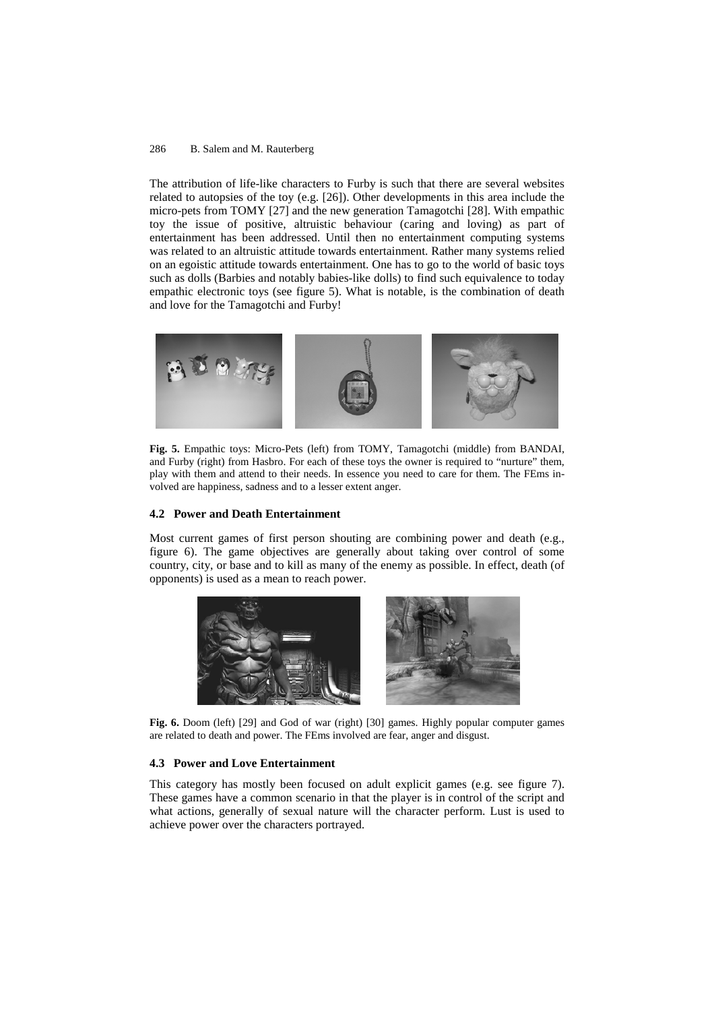The attribution of life-like characters to Furby is such that there are several websites related to autopsies of the toy (e.g. [26]). Other developments in this area include the micro-pets from TOMY [27] and the new generation Tamagotchi [28]. With empathic toy the issue of positive, altruistic behaviour (caring and loving) as part of entertainment has been addressed. Until then no entertainment computing systems was related to an altruistic attitude towards entertainment. Rather many systems relied on an egoistic attitude towards entertainment. One has to go to the world of basic toys such as dolls (Barbies and notably babies-like dolls) to find such equivalence to today empathic electronic toys (see figure 5). What is notable, is the combination of death and love for the Tamagotchi and Furby!



**Fig. 5.** Empathic toys: Micro-Pets (left) from TOMY, Tamagotchi (middle) from BANDAI, and Furby (right) from Hasbro. For each of these toys the owner is required to "nurture" them, play with them and attend to their needs. In essence you need to care for them. The FEms involved are happiness, sadness and to a lesser extent anger.

#### **4.2 Power and Death Entertainment**

Most current games of first person shouting are combining power and death (e.g., figure 6). The game objectives are generally about taking over control of some country, city, or base and to kill as many of the enemy as possible. In effect, death (of opponents) is used as a mean to reach power.



**Fig. 6.** Doom (left) [29] and God of war (right) [30] games. Highly popular computer games are related to death and power. The FEms involved are fear, anger and disgust.

#### **4.3 Power and Love Entertainment**

This category has mostly been focused on adult explicit games (e.g. see figure 7). These games have a common scenario in that the player is in control of the script and what actions, generally of sexual nature will the character perform. Lust is used to achieve power over the characters portrayed.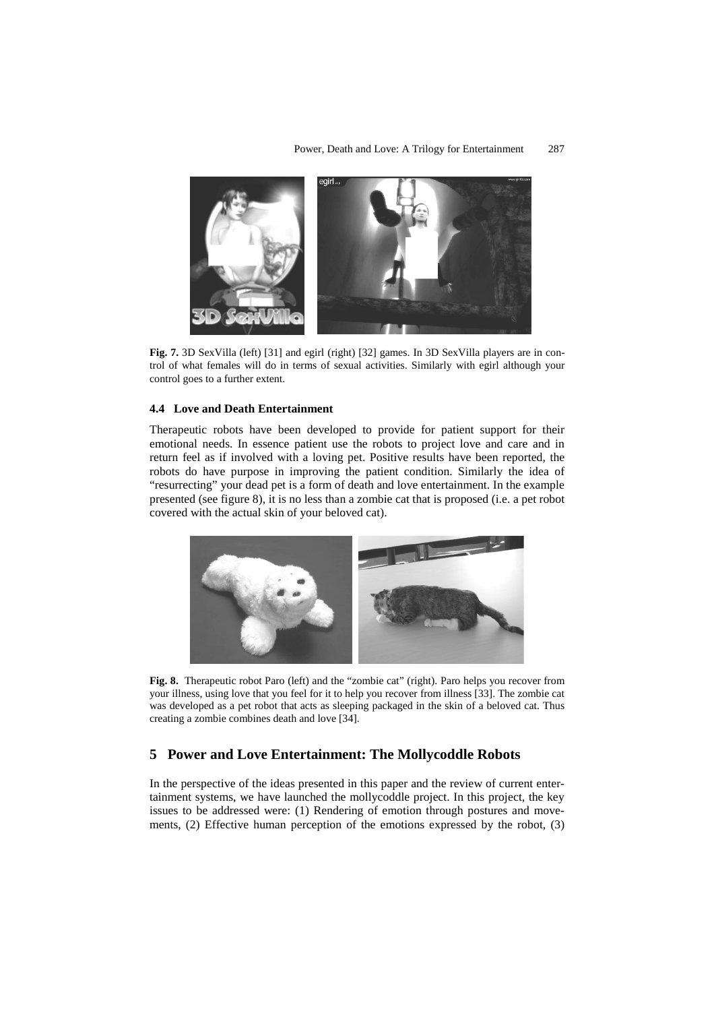

Fig. 7. 3D SexVilla (left) [31] and egirl (right) [32] games. In 3D SexVilla players are in control of what females will do in terms of sexual activities. Similarly with egirl although your control goes to a further extent.

### **4.4 Love and Death Entertainment**

Therapeutic robots have been developed to provide for patient support for their emotional needs. In essence patient use the robots to project love and care and in return feel as if involved with a loving pet. Positive results have been reported, the robots do have purpose in improving the patient condition. Similarly the idea of "resurrecting" your dead pet is a form of death and love entertainment. In the example presented (see figure 8), it is no less than a zombie cat that is proposed (i.e. a pet robot covered with the actual skin of your beloved cat).



**Fig. 8.** Therapeutic robot Paro (left) and the "zombie cat" (right). Paro helps you recover from your illness, using love that you feel for it to help you recover from illness [33]. The zombie cat was developed as a pet robot that acts as sleeping packaged in the skin of a beloved cat. Thus creating a zombie combines death and love [34].

## **5 Power and Love Entertainment: The Mollycoddle Robots**

In the perspective of the ideas presented in this paper and the review of current entertainment systems, we have launched the mollycoddle project. In this project, the key issues to be addressed were: (1) Rendering of emotion through postures and movements, (2) Effective human perception of the emotions expressed by the robot, (3)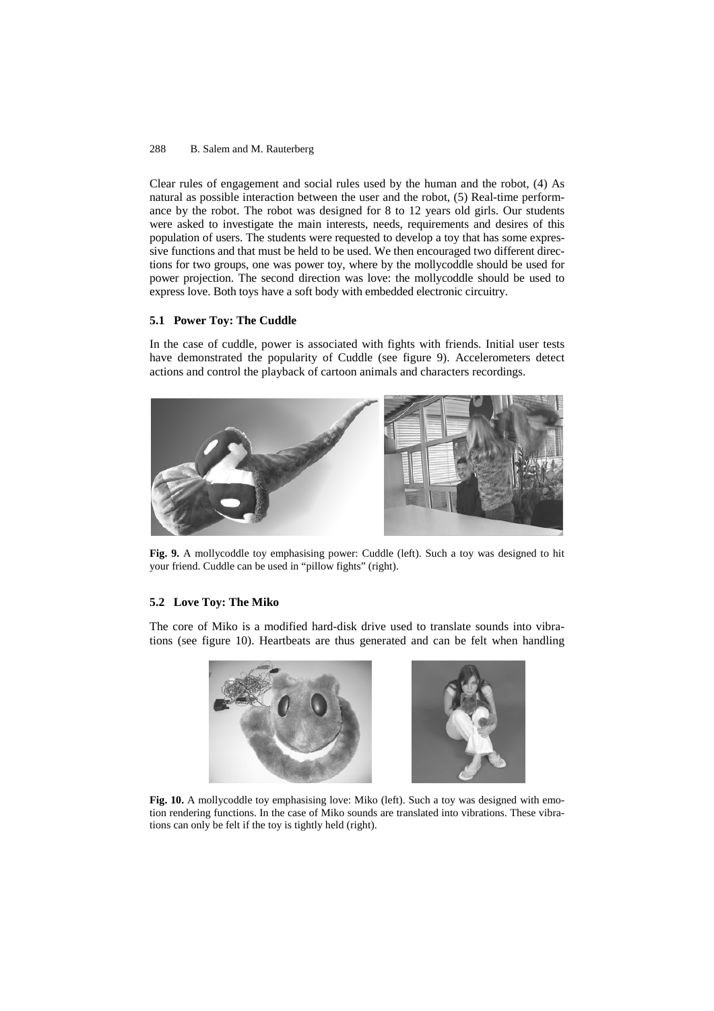Clear rules of engagement and social rules used by the human and the robot, (4) As natural as possible interaction between the user and the robot, (5) Real-time performance by the robot. The robot was designed for 8 to 12 years old girls. Our students were asked to investigate the main interests, needs, requirements and desires of this population of users. The students were requested to develop a toy that has some expressive functions and that must be held to be used. We then encouraged two different directions for two groups, one was power toy, where by the mollycoddle should be used for power projection. The second direction was love: the mollycoddle should be used to express love. Both toys have a soft body with embedded electronic circuitry.

#### **5.1 Power Toy: The Cuddle**

In the case of cuddle, power is associated with fights with friends. Initial user tests have demonstrated the popularity of Cuddle (see figure 9). Accelerometers detect actions and control the playback of cartoon animals and characters recordings.



**Fig. 9.** A mollycoddle toy emphasising power: Cuddle (left). Such a toy was designed to hit your friend. Cuddle can be used in "pillow fights" (right).

### **5.2 Love Toy: The Miko**

The core of Miko is a modified hard-disk drive used to translate sounds into vibrations (see figure 10). Heartbeats are thus generated and can be felt when handling



**Fig. 10.** A mollycoddle toy emphasising love: Miko (left). Such a toy was designed with emotion rendering functions. In the case of Miko sounds are translated into vibrations. These vibrations can only be felt if the toy is tightly held (right).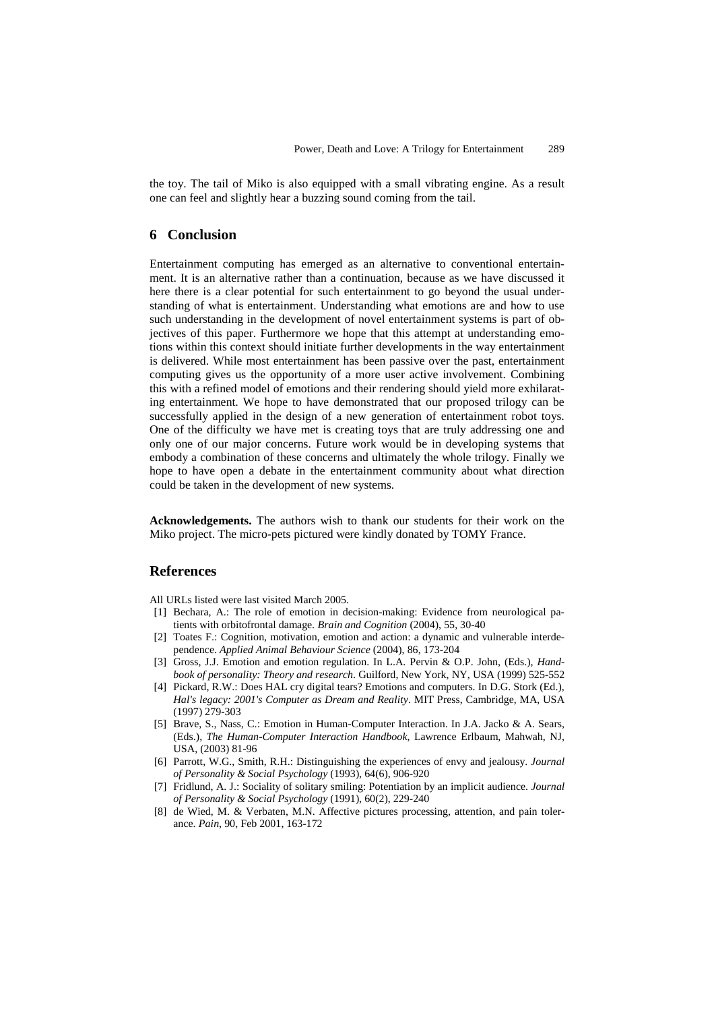the toy. The tail of Miko is also equipped with a small vibrating engine. As a result one can feel and slightly hear a buzzing sound coming from the tail.

## **6 Conclusion**

Entertainment computing has emerged as an alternative to conventional entertainment. It is an alternative rather than a continuation, because as we have discussed it here there is a clear potential for such entertainment to go beyond the usual understanding of what is entertainment. Understanding what emotions are and how to use such understanding in the development of novel entertainment systems is part of objectives of this paper. Furthermore we hope that this attempt at understanding emotions within this context should initiate further developments in the way entertainment is delivered. While most entertainment has been passive over the past, entertainment computing gives us the opportunity of a more user active involvement. Combining this with a refined model of emotions and their rendering should yield more exhilarating entertainment. We hope to have demonstrated that our proposed trilogy can be successfully applied in the design of a new generation of entertainment robot toys. One of the difficulty we have met is creating toys that are truly addressing one and only one of our major concerns. Future work would be in developing systems that embody a combination of these concerns and ultimately the whole trilogy. Finally we hope to have open a debate in the entertainment community about what direction could be taken in the development of new systems.

**Acknowledgements.** The authors wish to thank our students for their work on the Miko project. The micro-pets pictured were kindly donated by TOMY France.

## **References**

All URLs listed were last visited March 2005.

- [1] Bechara, A.: The role of emotion in decision-making: Evidence from neurological patients with orbitofrontal damage. *Brain and Cognition* (2004), 55, 30-40
- [2] Toates F.: Cognition, motivation, emotion and action: a dynamic and vulnerable interdependence. *Applied Animal Behaviour Science* (2004), 86, 173-204
- [3] Gross, J.J. Emotion and emotion regulation. In L.A. Pervin & O.P. John, (Eds.), *Handbook of personality: Theory and research*. Guilford, New York, NY, USA (1999) 525-552
- [4] Pickard, R.W.: Does HAL cry digital tears? Emotions and computers. In D.G. Stork (Ed.), *Hal's legacy: 2001's Computer as Dream and Reality*. MIT Press, Cambridge, MA, USA (1997) 279-303
- [5] Brave, S., Nass, C.: Emotion in Human-Computer Interaction. In J.A. Jacko & A. Sears, (Eds.), *The Human-Computer Interaction Handbook*, Lawrence Erlbaum, Mahwah, NJ, USA, (2003) 81-96
- [6] Parrott, W.G., Smith, R.H.: Distinguishing the experiences of envy and jealousy. *Journal of Personality & Social Psychology* (1993), 64(6), 906-920
- [7] Fridlund, A. J.: Sociality of solitary smiling: Potentiation by an implicit audience. *Journal of Personality & Social Psychology* (1991), 60(2), 229-240
- [8] de Wied, M. & Verbaten, M.N. Affective pictures processing, attention, and pain tolerance. *Pain*, 90, Feb 2001, 163-172